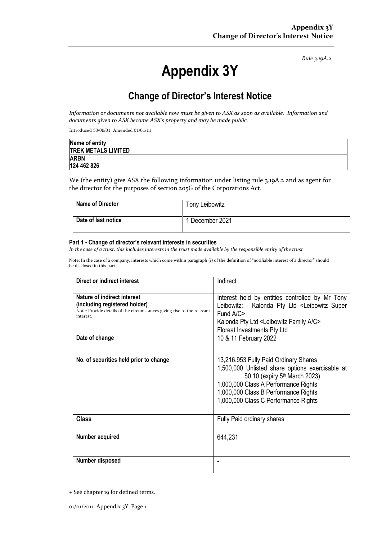*Rule 3.19A.2*

# **Appendix 3Y**

# **Change of Director's Interest Notice**

*Information or documents not available now must be given to ASX as soon as available. Information and documents given to ASX become ASX's property and may be made public.*

Introduced 30/09/01 Amended 01/01/11

| Name of entity             |  |
|----------------------------|--|
| <b>TREK METALS LIMITED</b> |  |
| <b>ARBN</b>                |  |
| 124 462 826                |  |

We (the entity) give ASX the following information under listing rule 3.19A.2 and as agent for the director for the purposes of section 205G of the Corporations Act.

| <b>Name of Director</b> | Tony Leibowitz  |
|-------------------------|-----------------|
| Date of last notice     | 1 December 2021 |

#### **Part 1 - Change of director's relevant interests in securities**

*In the case of a trust, this includes interests in the trust made available by the responsible entity of the trust*

Note: In the case of a company, interests which come within paragraph (i) of the definition of "notifiable interest of a director" should be disclosed in this part.

| Direct or indirect interest                                                                                                                         | Indirect                                                                                                                                                                                                                                                       |
|-----------------------------------------------------------------------------------------------------------------------------------------------------|----------------------------------------------------------------------------------------------------------------------------------------------------------------------------------------------------------------------------------------------------------------|
| Nature of indirect interest<br>(including registered holder)<br>Note: Provide details of the circumstances giving rise to the relevant<br>interest. | Interest held by entities controlled by Mr Tony<br>Leibowitz: - Kalonda Pty Ltd <leibowitz super<br="">Fund <math>A/C</math><br/>Kalonda Pty Ltd <leibowitz a="" c="" family=""><br/>Floreat Investments Pty Ltd</leibowitz></leibowitz>                       |
| Date of change                                                                                                                                      | 10 & 11 February 2022                                                                                                                                                                                                                                          |
| No. of securities held prior to change                                                                                                              | 13,216,953 Fully Paid Ordinary Shares<br>1,500,000 Unlisted share options exercisable at<br>\$0.10 (expiry 5 <sup>th</sup> March 2023)<br>1,000,000 Class A Performance Rights<br>1,000,000 Class B Performance Rights<br>1,000,000 Class C Performance Rights |
| <b>Class</b>                                                                                                                                        | Fully Paid ordinary shares                                                                                                                                                                                                                                     |
| Number acquired                                                                                                                                     | 644,231                                                                                                                                                                                                                                                        |
| Number disposed                                                                                                                                     |                                                                                                                                                                                                                                                                |

<sup>+</sup> See chapter 19 for defined terms.